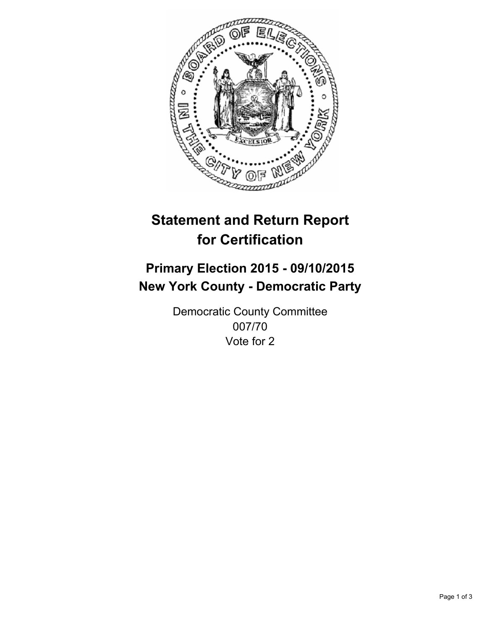

# **Statement and Return Report for Certification**

## **Primary Election 2015 - 09/10/2015 New York County - Democratic Party**

Democratic County Committee 007/70 Vote for 2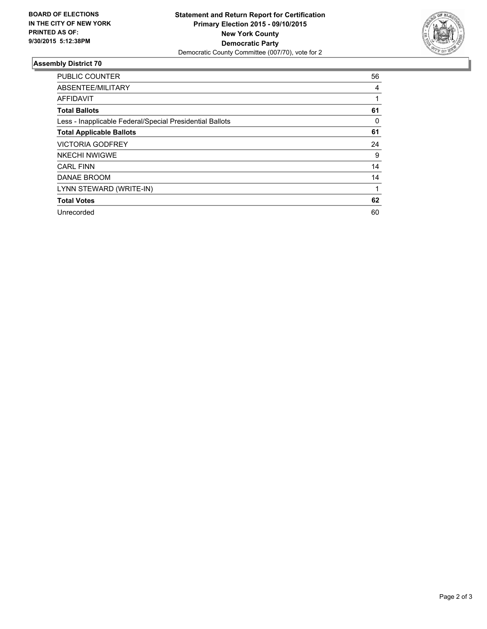

#### **Assembly District 70**

| <b>PUBLIC COUNTER</b>                                    | 56 |
|----------------------------------------------------------|----|
| ABSENTEE/MILITARY                                        | 4  |
| <b>AFFIDAVIT</b>                                         |    |
| <b>Total Ballots</b>                                     | 61 |
| Less - Inapplicable Federal/Special Presidential Ballots | 0  |
| <b>Total Applicable Ballots</b>                          | 61 |
| <b>VICTORIA GODFREY</b>                                  | 24 |
| <b>NKECHI NWIGWE</b>                                     | 9  |
| <b>CARL FINN</b>                                         | 14 |
| DANAE BROOM                                              | 14 |
| LYNN STEWARD (WRITE-IN)                                  |    |
| <b>Total Votes</b>                                       | 62 |
| Unrecorded                                               | 60 |